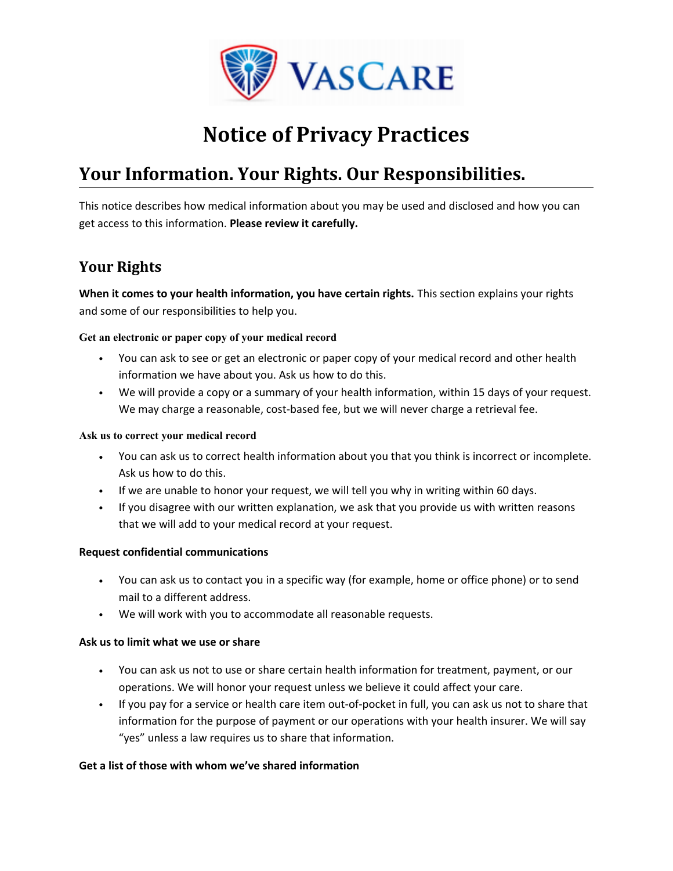

# **Notice of Privacy Practices**

# **Your Information. Your Rights. Our Responsibilities.**

This notice describes how medical information about you may be used and disclosed and how you can get access to this information. **Please review it carefully.**

# **Your Rights**

**When it comes to your health information, you have certain rights.** This section explains your rights and some of our responsibilities to help you.

#### **Get an electronic or paper copy of your medical record**

- You can ask to see or get an electronic or paper copy of your medical record and other health information we have about you. Ask us how to do this.
- We will provide a copy or a summary of your health information, within 15 days of your request. We may charge a reasonable, cost-based fee, but we will never charge a retrieval fee.

#### **Ask us to correct your medical record**

- You can ask us to correct health information about you that you think is incorrect or incomplete. Ask us how to do this.
- If we are unable to honor your request, we will tell you why in writing within 60 days.
- If you disagree with our written explanation, we ask that you provide us with written reasons that we will add to your medical record at your request.

#### **Request confidential communications**

- You can ask us to contact you in a specific way (for example, home or office phone) or to send mail to a different address.
- We will work with you to accommodate all reasonable requests.

#### **Ask us to limit what we use or share**

- You can ask us not to use or share certain health information for treatment, payment, or our operations. We will honor your request unless we believe it could affect your care.
- If you pay for a service or health care item out-of-pocket in full, you can ask us not to share that information for the purpose of payment or our operations with your health insurer. We will say "yes" unless a law requires us to share that information.

#### **Get a list of those with whom we've shared information**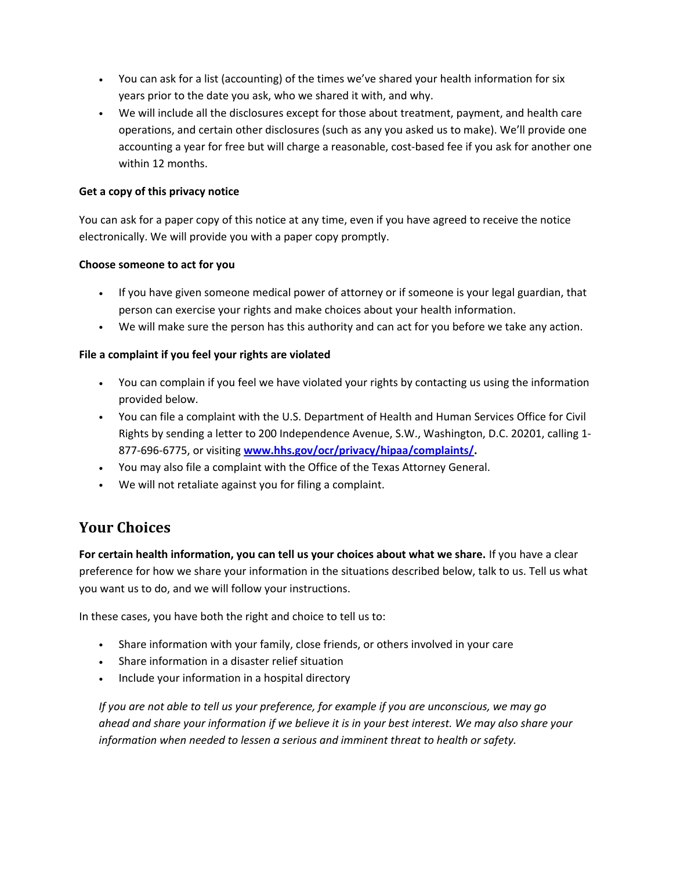- You can ask for a list (accounting) of the times we've shared your health information for six years prior to the date you ask, who we shared it with, and why.
- We will include all the disclosures except for those about treatment, payment, and health care operations, and certain other disclosures (such as any you asked us to make). We'll provide one accounting a year for free but will charge a reasonable, cost-based fee if you ask for another one within 12 months.

#### **Get a copy of this privacy notice**

You can ask for a paper copy of this notice at any time, even if you have agreed to receive the notice electronically. We will provide you with a paper copy promptly.

#### **Choose someone to act for you**

- If you have given someone medical power of attorney or if someone is your legal guardian, that person can exercise your rights and make choices about your health information.
- We will make sure the person has this authority and can act for you before we take any action.

#### **File a complaint if you feel your rights are violated**

- You can complain if you feel we have violated your rights by contacting us using the information provided below.
- You can file a complaint with the U.S. Department of Health and Human Services Office for Civil Rights by sending a letter to 200 Independence Avenue, S.W., Washington, D.C. 20201, calling 1- 877-696-6775, or visiting **[www.hhs.gov/ocr/privacy/hipaa/complaints/.](http://www.hhs.gov/ocr/privacy/hipaa/complaints/)**
- You may also file a complaint with the Office of the Texas Attorney General.
- We will not retaliate against you for filing a complaint.

## **Your Choices**

**For certain health information, you can tell us your choices about what we share.** If you have a clear preference for how we share your information in the situations described below, talk to us. Tell us what you want us to do, and we will follow your instructions.

In these cases, you have both the right and choice to tell us to:

- Share information with your family, close friends, or others involved in your care
- Share information in a disaster relief situation
- Include your information in a hospital directory

*If you are not able to tell us your preference, for example if you are unconscious, we may go ahead and share your information if we believe it is in your best interest. We may also share your information when needed to lessen a serious and imminent threat to health or safety.*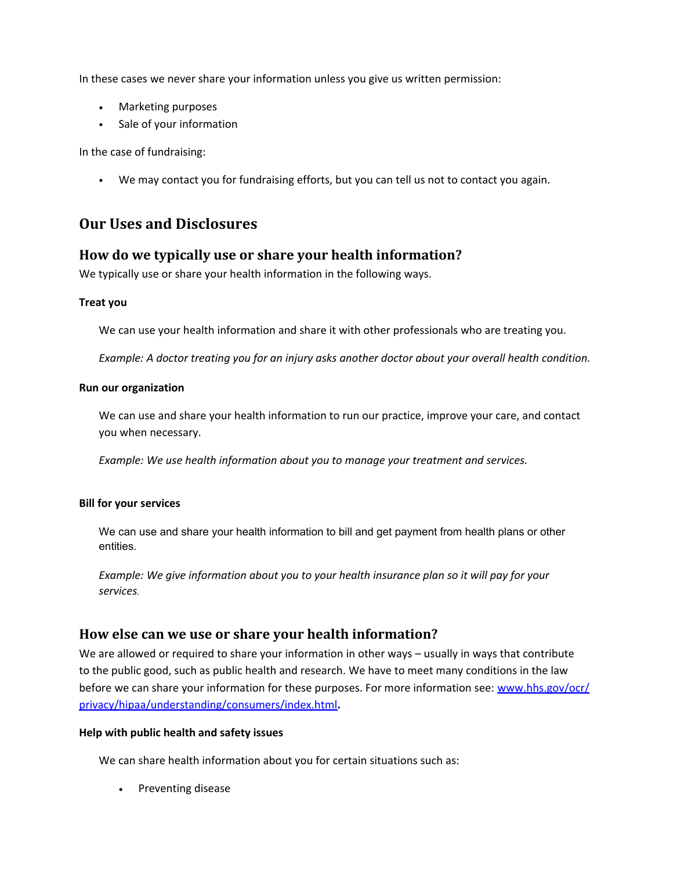In these cases we never share your information unless you give us written permission:

- Marketing purposes
- Sale of your information

In the case of fundraising:

• We may contact you for fundraising efforts, but you can tell us not to contact you again.

## **Our Uses and Disclosures**

#### **How do we typically use or share your health information?**

We typically use or share your health information in the following ways.

#### **Treat you**

We can use your health information and share it with other professionals who are treating you.

*Example: A doctor treating you for an injury asks another doctor about your overall health condition.*

#### **Run our organization**

We can use and share your health information to run our practice, improve your care, and contact you when necessary.

*Example: We use health information about you to manage your treatment and services.* 

#### **Bill for your services**

We can use and share your health information to bill and get payment from health plans or other entities.

*Example: We give information about you to your health insurance plan so it will pay for your services.* 

### **How else can we use or share your health information?**

We are allowed or required to share your information in other ways – usually in ways that contribute to the public good, such as public health and research. We have to meet many conditions in the law before we can share your information for these purposes. For more information see: [www.hhs.gov/ocr/](http://www.hhs.gov/ocr/privacy/hipaa/understanding/consumers/index.html) [privacy/hipaa/understanding/consumers/index.html](http://www.hhs.gov/ocr/privacy/hipaa/understanding/consumers/index.html)**.**

#### **Help with public health and safety issues**

We can share health information about you for certain situations such as:

• Preventing disease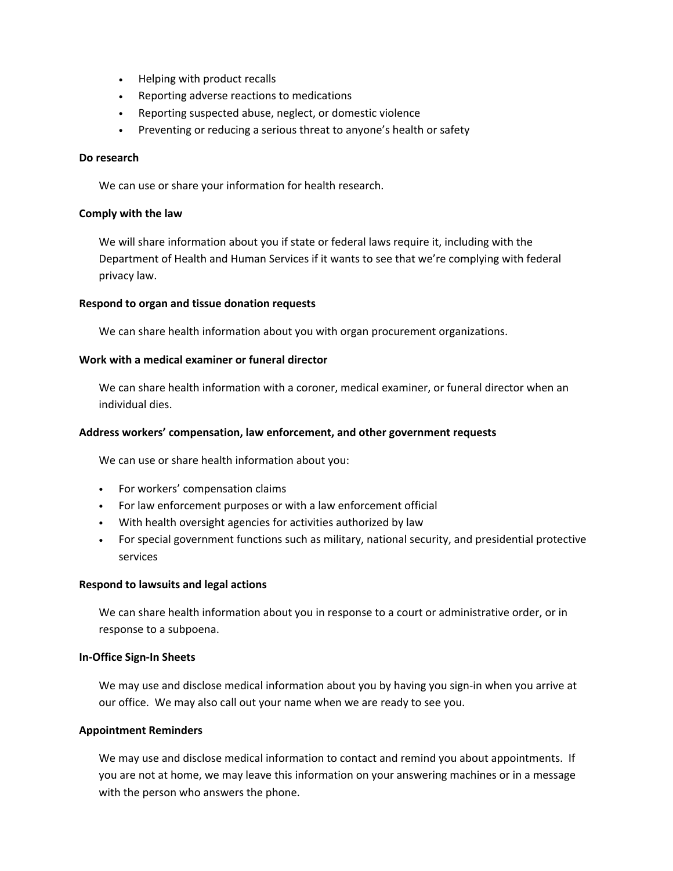- Helping with product recalls
- Reporting adverse reactions to medications
- Reporting suspected abuse, neglect, or domestic violence
- Preventing or reducing a serious threat to anyone's health or safety

#### **Do research**

We can use or share your information for health research.

#### **Comply with the law**

We will share information about you if state or federal laws require it, including with the Department of Health and Human Services if it wants to see that we're complying with federal privacy law.

#### **Respond to organ and tissue donation requests**

We can share health information about you with organ procurement organizations.

#### **Work with a medical examiner or funeral director**

We can share health information with a coroner, medical examiner, or funeral director when an individual dies.

#### **Address workers' compensation, law enforcement, and other government requests**

We can use or share health information about you:

- For workers' compensation claims
- For law enforcement purposes or with a law enforcement official
- With health oversight agencies for activities authorized by law
- For special government functions such as military, national security, and presidential protective services

#### **Respond to lawsuits and legal actions**

We can share health information about you in response to a court or administrative order, or in response to a subpoena.

#### **In-Office Sign-In Sheets**

We may use and disclose medical information about you by having you sign-in when you arrive at our office. We may also call out your name when we are ready to see you.

#### **Appointment Reminders**

We may use and disclose medical information to contact and remind you about appointments. If you are not at home, we may leave this information on your answering machines or in a message with the person who answers the phone.